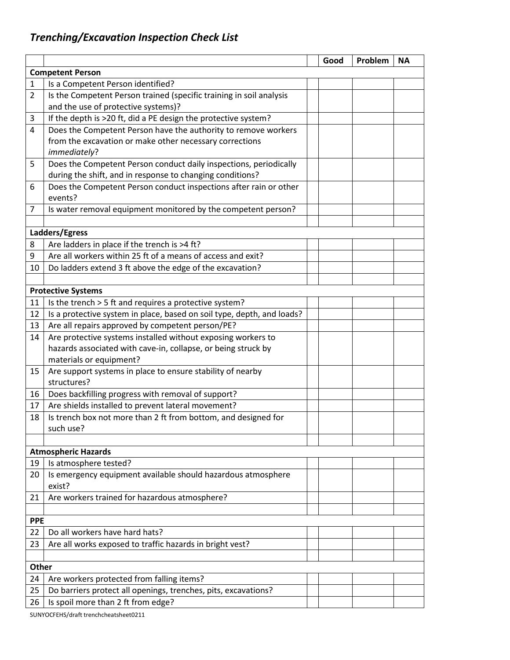## *Trenching/Excavation Inspection Check List*

|                         |                                                                        |  | Good | Problem | <b>NA</b> |  |  |
|-------------------------|------------------------------------------------------------------------|--|------|---------|-----------|--|--|
| <b>Competent Person</b> |                                                                        |  |      |         |           |  |  |
| $\mathbf 1$             | Is a Competent Person identified?                                      |  |      |         |           |  |  |
| $\overline{2}$          | Is the Competent Person trained (specific training in soil analysis    |  |      |         |           |  |  |
|                         | and the use of protective systems)?                                    |  |      |         |           |  |  |
| 3                       | If the depth is >20 ft, did a PE design the protective system?         |  |      |         |           |  |  |
| $\overline{4}$          | Does the Competent Person have the authority to remove workers         |  |      |         |           |  |  |
|                         | from the excavation or make other necessary corrections                |  |      |         |           |  |  |
|                         | immediately?                                                           |  |      |         |           |  |  |
| 5                       | Does the Competent Person conduct daily inspections, periodically      |  |      |         |           |  |  |
|                         | during the shift, and in response to changing conditions?              |  |      |         |           |  |  |
| 6                       | Does the Competent Person conduct inspections after rain or other      |  |      |         |           |  |  |
|                         | events?                                                                |  |      |         |           |  |  |
| 7                       | Is water removal equipment monitored by the competent person?          |  |      |         |           |  |  |
|                         |                                                                        |  |      |         |           |  |  |
|                         | Ladders/Egress                                                         |  |      |         |           |  |  |
| 8                       | Are ladders in place if the trench is >4 ft?                           |  |      |         |           |  |  |
| 9                       | Are all workers within 25 ft of a means of access and exit?            |  |      |         |           |  |  |
| 10                      | Do ladders extend 3 ft above the edge of the excavation?               |  |      |         |           |  |  |
|                         |                                                                        |  |      |         |           |  |  |
|                         | <b>Protective Systems</b>                                              |  |      |         |           |  |  |
| 11                      | Is the trench > 5 ft and requires a protective system?                 |  |      |         |           |  |  |
| 12                      | Is a protective system in place, based on soil type, depth, and loads? |  |      |         |           |  |  |
| 13                      | Are all repairs approved by competent person/PE?                       |  |      |         |           |  |  |
| 14                      | Are protective systems installed without exposing workers to           |  |      |         |           |  |  |
|                         | hazards associated with cave-in, collapse, or being struck by          |  |      |         |           |  |  |
|                         | materials or equipment?                                                |  |      |         |           |  |  |
| 15                      | Are support systems in place to ensure stability of nearby             |  |      |         |           |  |  |
|                         | structures?                                                            |  |      |         |           |  |  |
| 16                      | Does backfilling progress with removal of support?                     |  |      |         |           |  |  |
| 17                      | Are shields installed to prevent lateral movement?                     |  |      |         |           |  |  |
| 18                      | Is trench box not more than 2 ft from bottom, and designed for         |  |      |         |           |  |  |
|                         | such use?                                                              |  |      |         |           |  |  |
|                         |                                                                        |  |      |         |           |  |  |
|                         | <b>Atmospheric Hazards</b>                                             |  |      |         |           |  |  |
| 19                      | Is atmosphere tested?                                                  |  |      |         |           |  |  |
| 20                      | Is emergency equipment available should hazardous atmosphere           |  |      |         |           |  |  |
|                         | exist?                                                                 |  |      |         |           |  |  |
| 21                      | Are workers trained for hazardous atmosphere?                          |  |      |         |           |  |  |
|                         |                                                                        |  |      |         |           |  |  |
| <b>PPE</b>              |                                                                        |  |      |         |           |  |  |
| 22                      | Do all workers have hard hats?                                         |  |      |         |           |  |  |
| 23                      | Are all works exposed to traffic hazards in bright vest?               |  |      |         |           |  |  |
|                         |                                                                        |  |      |         |           |  |  |
| Other                   |                                                                        |  |      |         |           |  |  |
| 24                      | Are workers protected from falling items?                              |  |      |         |           |  |  |
| 25                      | Do barriers protect all openings, trenches, pits, excavations?         |  |      |         |           |  |  |
| 26                      | Is spoil more than 2 ft from edge?                                     |  |      |         |           |  |  |
|                         |                                                                        |  |      |         |           |  |  |

SUNYOCFEHS/draft trenchcheatsheet0211